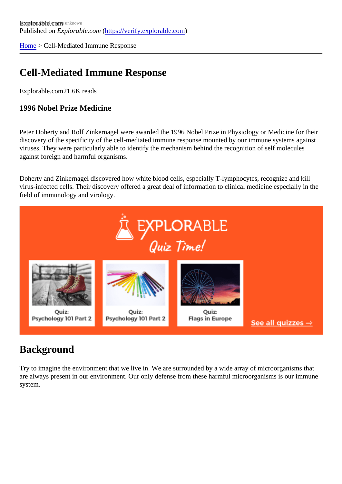[Home](https://verify.explorable.com/)> Cell-Mediated Immune Response

### Cell-Mediated Immune Response

Explorable.com21.6K reads

1996 Nobel Prize Medicine

Peter Doherty and Rolf Zinkernagel were awarded the 1996 Nobel Prize in Physiology or Medicine for their discovery of the specificity of the cell-mediated immune response mounted by our immune systems against viruses. They were particularly able to identify the mechanism behind the recognition of self molecules against foreign and harmful organisms.

Doherty and Zinkernagel discovered how white blood cells, especially T-lymphocytes, recognize and kill virus-infected cells. Their discovery offered a great deal of information to clinical medicine especially in the field of immunology and virology.

#### **Background**

Try to imagine the environment that we live in. We are surrounded by a wide array of microorganisms that are always present in our environment. Our only defense from these harmful microorganisms is our immun system.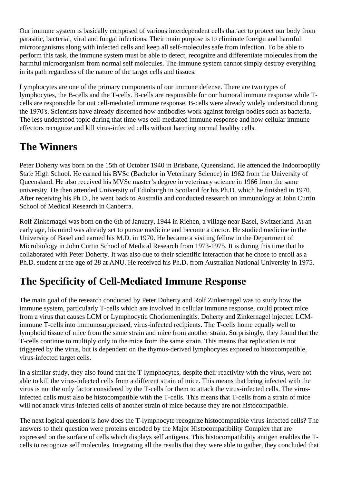Our immune system is basically composed of various interdependent cells that act to protect our body from parasitic, bacterial, viral and fungal infections. Their main purpose is to eliminate foreign and harmful microorganisms along with infected cells and keep all self-molecules safe from infection. To be able to perform this task, the immune system must be able to detect, recognize and differentiate molecules from the harmful microorganism from normal self molecules. The immune system cannot simply destroy everything in its path regardless of the nature of the target cells and tissues.

Lymphocytes are one of the primary components of our immune defense. There are two types of lymphocytes, the B-cells and the T-cells. B-cells are responsible for our humoral immune response while Tcells are responsible for out cell-mediated immune response. B-cells were already widely understood during the 1970's. Scientists have already discerned how antibodies work against foreign bodies such as bacteria. The less understood topic during that time was cell-mediated immune response and how cellular immune effectors recognize and kill virus-infected cells without harming normal healthy cells.

#### **The Winners**

Peter Doherty was born on the 15th of October 1940 in Brisbane, Queensland. He attended the Indooroopilly State High School. He earned his BVSc (Bachelor in Veterinary Science) in 1962 from the University of Queensland. He also received his MVSc master's degree in veterinary science in 1966 from the same university. He then attended University of Edinburgh in Scotland for his Ph.D. which he finished in 1970. After receiving his Ph.D., he went back to Australia and conducted research on immunology at John Curtin School of Medical Research in Canberra.

Rolf Zinkernagel was born on the 6th of January, 1944 in Riehen, a village near Basel, Switzerland. At an early age, his mind was already set to pursue medicine and become a doctor. He studied medicine in the University of Basel and earned his M.D. in 1970. He became a visiting fellow in the Department of Microbiology in John Curtin School of Medical Research from 1973-1975. It is during this time that he collaborated with Peter Doherty. It was also due to their scientific interaction that he chose to enroll as a Ph.D. student at the age of 28 at ANU. He received his Ph.D. from Australian National University in 1975.

# **The Specificity of Cell-Mediated Immune Response**

The main goal of the research conducted by Peter Doherty and Rolf Zinkernagel was to study how the immune system, particularly T-cells which are involved in cellular immune response, could protect mice from a virus that causes LCM or Lymphocytic Choriomeningitis. Doherty and Zinkernagel injected LCMimmune T-cells into immunosuppressed, virus-infected recipients. The T-cells home equally well to lymphoid tissue of mice from the same strain and mice from another strain. Surprisingly, they found that the T-cells continue to multiply only in the mice from the same strain. This means that replication is not triggered by the virus, but is dependent on the thymus-derived lymphocytes exposed to histocompatible, virus-infected target cells.

In a similar study, they also found that the T-lymphocytes, despite their reactivity with the virus, were not able to kill the virus-infected cells from a different strain of mice. This means that being infected with the virus is not the only factor considered by the T-cells for them to attack the virus-infected cells. The virusinfected cells must also be histocompatible with the T-cells. This means that T-cells from a strain of mice will not attack virus-infected cells of another strain of mice because they are not histocompatible.

The next logical question is how does the T-lymphocyte recognize histocompatible virus-infected cells? The answers to their question were proteins encoded by the Major Histocompatibility Complex that are expressed on the surface of cells which displays self antigens. This histocompatibility antigen enables the Tcells to recognize self molecules. Integrating all the results that they were able to gather, they concluded that